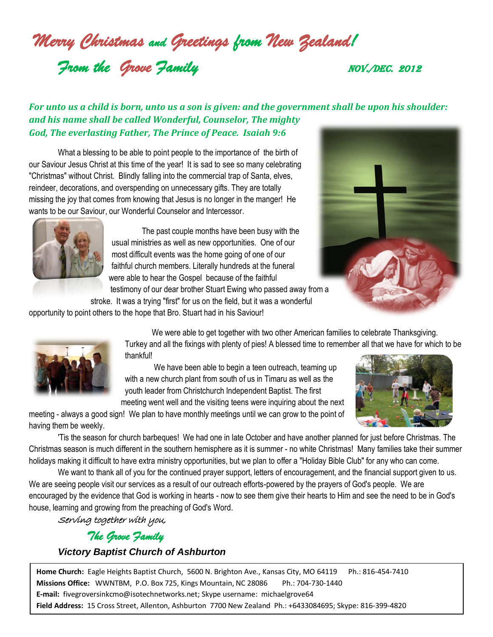*Merry Christmas and Greetings from New Zealand!*

**From the Grove Family Community** NOV./DEC. 2012

## *For unto us a child is born, unto us a son is given: and the government shall be upon his shoulder: and his name shall be called Wonderful, Counselor, The mighty God, The everlasting Father, The Prince of Peace. Isaiah 9:6*

What a blessing to be able to point people to the importance of the birth of our Saviour Jesus Christ at this time of the year! It is sad to see so many celebrating "Christmas" without Christ. Blindly falling into the commercial trap of Santa, elves, reindeer, decorations, and overspending on unnecessary gifts. They are totally missing the joy that comes from knowing that Jesus is no longer in the manger! He wants to be our Saviour, our Wonderful Counselor and Intercessor.



The past couple months have been busy with the usual ministries as well as new opportunities. One of our most difficult events was the home going of one of our faithful church members. Literally hundreds at the funeral were able to hear the Gospel because of the faithful testimony of our dear brother Stuart Ewing who passed away from a



stroke. It was a trying "first" for us on the field, but it was a wonderful

opportunity to point others to the hope that Bro. Stuart had in his Saviour!



We were able to get together with two other American families to celebrate Thanksgiving. Turkey and all the fixings with plenty of pies! A blessed time to remember all that we have for which to be thankful!

We have been able to begin a teen outreach, teaming up with a new church plant from south of us in Timaru as well as the youth leader from Christchurch Independent Baptist. The first meeting went well and the visiting teens were inquiring about the next



meeting - always a good sign! We plan to have monthly meetings until we can grow to the point of having them be weekly.

'Tis the season for church barbeques! We had one in late October and have another planned for just before Christmas. The Christmas season is much different in the southern hemisphere as it is summer - no white Christmas! Many families take their summer holidays making it difficult to have extra ministry opportunities, but we plan to offer a "Holiday Bible Club" for any who can come.

We want to thank all of you for the continued prayer support, letters of encouragement, and the financial support given to us. We are seeing people visit our services as a result of our outreach efforts-powered by the prayers of God's people. We are encouraged by the evidence that God is working in hearts - now to see them give their hearts to Him and see the need to be in God's house, learning and growing from the preaching of God's Word.

Serving together with you,

*The Grove Family* 

## *Victory Baptist Church of Ashburton*

**Home Church:** Eagle Heights Baptist Church, 5600 N. Brighton Ave., Kansas City, MO 64119 Ph.: 816-454-7410 **Missions Office:** WWNTBM, P.O. Box 725, Kings Mountain, NC 28086 Ph.: 704-730-1440 **E-mail:** fivegroversinkcmo@isotechnetworks.net; Skype username: michaelgrove64 **Field Address:** 15 Cross Street, Allenton, Ashburton 7700 New Zealand Ph.: +6433084695; Skype: 816-399-4820